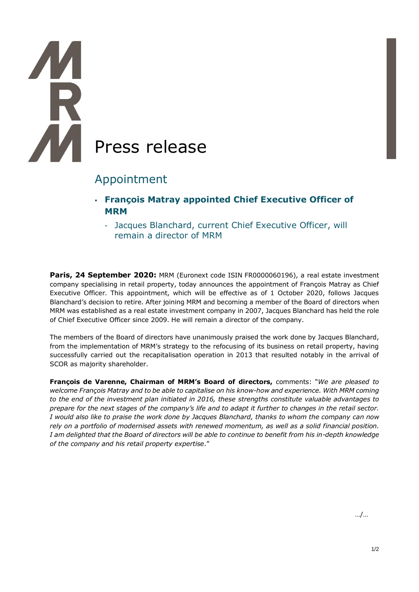# Press release

# Appointment

- **François Matray appointed Chief Executive Officer of MRM**
	- Jacques Blanchard, current Chief Executive Officer, will remain a director of MRM

**Paris, 24 September 2020:** MRM (Euronext code ISIN FR0000060196), a real estate investment company specialising in retail property, today announces the appointment of François Matray as Chief Executive Officer. This appointment, which will be effective as of 1 October 2020, follows Jacques Blanchard's decision to retire. After joining MRM and becoming a member of the Board of directors when MRM was established as a real estate investment company in 2007, Jacques Blanchard has held the role of Chief Executive Officer since 2009. He will remain a director of the company.

The members of the Board of directors have unanimously praised the work done by Jacques Blanchard, from the implementation of MRM's strategy to the refocusing of its business on retail property, having successfully carried out the recapitalisation operation in 2013 that resulted notably in the arrival of SCOR as majority shareholder.

**François de Varenne, Chairman of MRM's Board of directors,** comments: "*We are pleased to welcome François Matray and to be able to capitalise on his know-how and experience. With MRM coming to the end of the investment plan initiated in 2016, these strengths constitute valuable advantages to prepare for the next stages of the company's life and to adapt it further to changes in the retail sector. I would also like to praise the work done by Jacques Blanchard, thanks to whom the company can now rely on a portfolio of modernised assets with renewed momentum, as well as a solid financial position. I am delighted that the Board of directors will be able to continue to benefit from his in-depth knowledge of the company and his retail property expertise*."

…/…